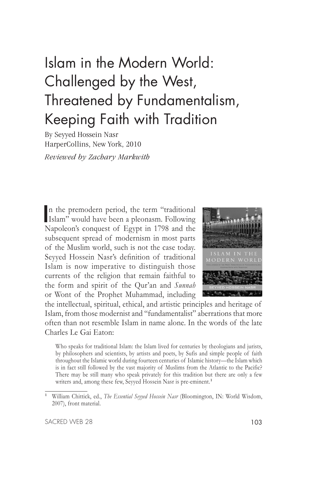## Islam in the Modern World: Challenged by the West, Threatened by Fundamentalism, Keeping Faith with Tradition

By Seyyed Hossein Nasr HarperCollins, New York, 2010 *Reviewed by Zachary Markwith*

In the premodern period, the term "traditional Islam" would have been a pleonasm. Following n the premodern period, the term "traditional Napoleon's conquest of Egypt in 1798 and the subsequent spread of modernism in most parts of the Muslim world, such is not the case today. Seyyed Hossein Nasr's definition of traditional Islam is now imperative to distinguish those currents of the religion that remain faithful to the form and spirit of the Qur'an and *Sunnah* or Wont of the Prophet Muhammad, including



the intellectual, spiritual, ethical, and artistic principles and heritage of Islam, from those modernist and "fundamentalist" aberrations that more often than not resemble Islam in name alone. In the words of the late Charles Le Gai Eaton:

Who speaks for traditional Islam: the Islam lived for centuries by theologians and jurists, by philosophers and scientists, by artists and poets, by Sufis and simple people of faith throughout the Islamic world during fourteen centuries of Islamic history—the Islam which is in fact still followed by the vast majority of Muslims from the Atlantic to the Pacific? There may be still many who speak privately for this tradition but there are only a few writers and, among these few, Seyyed Hossein Nasr is pre-eminent.<sup>1</sup>

SACRED WEB 28 103

<sup>1</sup> William Chittick, ed., *The Essential Seyyed Hossein Nasr* (Bloomington, IN: World Wisdom, 2007), front material.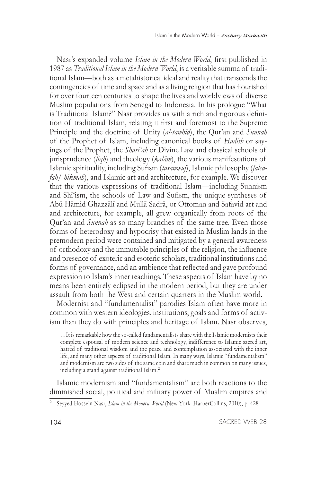Nasr's expanded volume *Islam in the Modern World*, first published in 1987 as *Traditional Islam in the Modern World*, is a veritable summa of traditional Islam—both as a metahistorical ideal and reality that transcends the contingencies of time and space and as a living religion that has flourished for over fourteen centuries to shape the lives and worldviews of diverse Muslim populations from Senegal to Indonesia. In his prologue "What is Traditional Islam?" Nasr provides us with a rich and rigorous definition of traditional Islam, relating it first and foremost to the Supreme Principle and the doctrine of Unity (*al-tawhīd*), the Qur'an and *Sunnah* of the Prophet of Islam, including canonical books of *Hadīth* or sayings of the Prophet, the *Sharī'ah* or Divine Law and classical schools of jurisprudence (*fiqh*) and theology (*kalām*), the various manifestations of Islamic spirituality, including Sufism (*tasawwuf*), Islamic philosophy (*falsafah*/ *hikmah*), and Islamic art and architecture, for example. We discover that the various expressions of traditional Islam—including Sunnism and Shī'ism, the schools of Law and Sufism, the unique syntheses of Abū Hāmid Ghazzālī and Mullā Sadrā, or Ottoman and Safavid art and and architecture, for example, all grew organically from roots of the Qur'an and *Sunnah* as so many branches of the same tree. Even those forms of heterodoxy and hypocrisy that existed in Muslim lands in the premodern period were contained and mitigated by a general awareness of orthodoxy and the immutable principles of the religion, the influence and presence of exoteric and esoteric scholars, traditional institutions and forms of governance, and an ambience that reflected and gave profound expression to Islam's inner teachings. These aspects of Islam have by no means been entirely eclipsed in the modern period, but they are under assault from both the West and certain quarters in the Muslim world.

Modernist and "fundamentalist" parodies Islam often have more in common with western ideologies, institutions, goals and forms of activism than they do with principles and heritage of Islam. Nasr observes,

…It is remarkable how the so-called fundamentalists share with the Islamic modernists their complete espousal of modern science and technology, indifference to Islamic sacred art, hatred of traditional wisdom and the peace and contemplation associated with the inner life, and many other aspects of traditional Islam. In many ways, Islamic "fundamentalism" and modernism are two sides of the same coin and share much in common on many issues, including a stand against traditional Islam.<sup>2</sup>

Islamic modernism and "fundamentalism" are both reactions to the diminished social, political and military power of Muslim empires and

<sup>&</sup>lt;sup>2</sup> Seyyed Hossein Nasr, *Islam in the Modern World* (New York: HarperCollins, 2010), p. 428.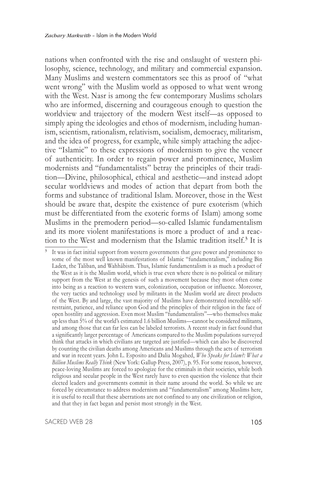nations when confronted with the rise and onslaught of western philosophy, science, technology, and military and commercial expansion. Many Muslims and western commentators see this as proof of "what went wrong" with the Muslim world as opposed to what went wrong with the West. Nasr is among the few contemporary Muslims scholars who are informed, discerning and courageous enough to question the worldview and trajectory of the modern West itself—as opposed to simply aping the ideologies and ethos of modernism, including humanism, scientism, rationalism, relativism, socialism, democracy, militarism, and the idea of progress, for example, while simply attaching the adjective "Islamic" to these expressions of modernism to give the veneer of authenticity. In order to regain power and prominence, Muslim modernists and "fundamentalists" betray the principles of their tradition—Divine, philosophical, ethical and aesthetic—and instead adopt secular worldviews and modes of action that depart from both the forms and substance of traditional Islam. Moreover, those in the West should be aware that, despite the existence of pure exoterism (which must be differentiated from the exoteric forms of Islam) among some Muslims in the premodern period—so-called Islamic fundamentalism and its more violent manifestations is more a product of and a reaction to the West and modernism that the Islamic tradition itself.<sup>3</sup> It is

<sup>&</sup>lt;sup>3</sup> It was in fact initial support from western governments that gave power and prominence to some of the most well known manifestations of Islamic "fundamentalism," including Bin Laden, the Taliban, and Wahhābism. Thus, Islamic fundamentalism is as much a product of the West as it is the Muslim world, which is true even where there is no political or military support from the West at the genesis of such a movement because they most often come into being as a reaction to western wars, colonization, occupation or influence. Moreover, the very tactics and technology used by militants in the Muslim world are direct products of the West. By and large, the vast majority of Muslims have demonstrated incredible selfrestraint, patience, and reliance upon God and the principles of their religion in the face of open hostility and aggression. Even most Muslim "fundamentalists"—who themselves make up less than 5% of the world's estimated 1.6 billion Muslims—cannot be considered militants, and among those that can far less can be labeled terrorists. A recent study in fact found that a significantly larger percentage of Americans compared to the Muslim populations surveyed think that attacks in which civilians are targeted are justified—which can also be discovered by counting the civilian deaths among Americans and Muslims through the acts of terrorism and war in recent years. John L. Esposito and Dalia Mogahed, *Who Speaks for Islam?: What a Billion Muslims Really Think* (New York: Gallup Press, 2007), p. 95. For some reason, however, peace-loving Muslims are forced to apologize for the criminals in their societies, while both religious and secular people in the West rarely have to even question the violence that their elected leaders and governments commit in their name around the world. So while we are forced by circumstance to address modernism and "fundamentalism" among Muslims here, it is useful to recall that these aberrations are not confined to any one civilization or religion, and that they in fact began and persist most strongly in the West.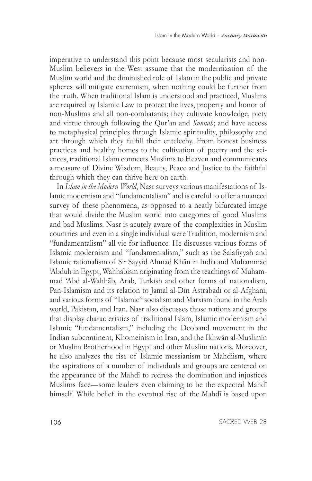imperative to understand this point because most secularists and non-Muslim believers in the West assume that the modernization of the Muslim world and the diminished role of Islam in the public and private spheres will mitigate extremism, when nothing could be further from the truth. When traditional Islam is understood and practiced, Muslims are required by Islamic Law to protect the lives, property and honor of non-Muslims and all non-combatants; they cultivate knowledge, piety and virtue through following the Qur'an and *Sunnah*; and have access to metaphysical principles through Islamic spirituality, philosophy and art through which they fulfill their entelechy. From honest business practices and healthy homes to the cultivation of poetry and the sciences, traditional Islam connects Muslims to Heaven and communicates a measure of Divine Wisdom, Beauty, Peace and Justice to the faithful through which they can thrive here on earth.

In *Islam in the Modern World*, Nasr surveys various manifestations of Islamic modernism and "fundamentalism" and is careful to offer a nuanced survey of these phenomena, as opposed to a neatly bifurcated image that would divide the Muslim world into categories of good Muslims and bad Muslims. Nasr is acutely aware of the complexities in Muslim countries and even in a single individual were Tradition, modernism and "fundamentalism" all vie for influence. He discusses various forms of Islamic modernism and "fundamentalism," such as the Salafiyyah and Islamic rationalism of Sir Sayyid Ahmad Khān in India and Muhammad 'Abduh in Egypt, Wahhābism originating from the teachings of Muhammad 'Abd al-Wahhāb, Arab, Turkish and other forms of nationalism, Pan-Islamism and its relation to Jamāl al-Dīn Astrābādī or al-Afghānī, and various forms of "Islamic" socialism and Marxism found in the Arab world, Pakistan, and Iran. Nasr also discusses those nations and groups that display characteristics of traditional Islam, Islamic modernism and Islamic "fundamentalism," including the Deoband movement in the Indian subcontinent, Khomeinism in Iran, and the Ikhwān al-Muslimīn or Muslim Brotherhood in Egypt and other Muslim nations. Moreover, he also analyzes the rise of Islamic messianism or Mahdiism, where the aspirations of a number of individuals and groups are centered on the appearance of the Mahdī to redress the domination and injustices Muslims face—some leaders even claiming to be the expected Mahdī himself. While belief in the eventual rise of the Mahdī is based upon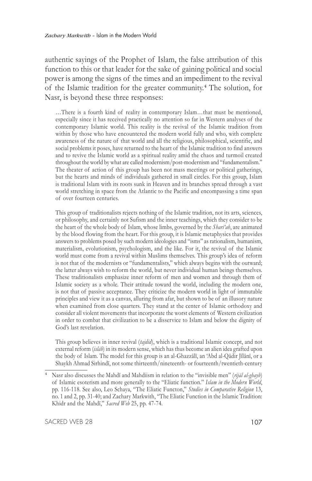authentic sayings of the Prophet of Islam, the false attribution of this function to this or that leader for the sake of gaining political and social power is among the signs of the times and an impediment to the revival of the Islamic tradition for the greater community.<sup>4</sup> The solution, for Nasr, is beyond these three responses:

…There is a fourth kind of reality in contemporary Islam…that must be mentioned, especially since it has received practically no attention so far in Western analyses of the contemporary Islamic world. This reality is the revival of the Islamic tradition from within by those who have encountered the modern world fully and who, with complete awareness of the nature of that world and all the religious, philosophical, scientific, and social problems it poses, have returned to the heart of the Islamic tradition to find answers and to revive the Islamic world as a spiritual reality amid the chaos and turmoil created throughout the world by what are called modernism/post-modernism and "fundamentalism." The theater of action of this group has been not mass meetings or political gatherings, but the hearts and minds of individuals gathered in small circles. For this group, Islam is traditional Islam with its roots sunk in Heaven and its branches spread through a vast world stretching in space from the Atlantic to the Pacific and encompassing a time span of over fourteen centuries.

This group of traditionalists rejects nothing of the Islamic tradition, not its arts, sciences, or philosophy, and certainly not Sufism and the inner teachings, which they consider to be the heart of the whole body of Islam, whose limbs, governed by the *Sharī'ah*, are animated by the blood flowing from the heart. For this group, it is Islamic metaphysics that provides answers to problems posed by such modern ideologies and "isms" as rationalism, humanism, materialism, evolutionism, psychologism, and the like. For it, the revival of the Islamic world must come from a revival within Muslims themselves. This group's idea of reform is not that of the modernists or "fundamentalists," which always begins with the outward; the latter always wish to reform the world, but never individual human beings themselves. These traditionalists emphasize inner reform of men and women and through them of Islamic society as a whole. Their attitude toward the world, including the modern one, is not that of passive acceptance. They criticize the modern world in light of immutable principles and view it as a canvas, alluring from afar, but shown to be of an illusory nature when examined from close quarters. They stand at the center of Islamic orthodoxy and consider all violent movements that incorporate the worst elements of Western civilization in order to combat that civilization to be a disservice to Islam and below the dignity of God's last revelation.

This group believes in inner revival (*tajdīd*), which is a traditional Islamic concept, and not external reform (*islāh*) in its modern sense, which has thus become an alien idea grafted upon the body of Islam. The model for this group is an al-Ghazzālī, an 'Abd al-Qādir Jīlānī, or a Shaykh Ahmad Sirhindī, not some thirteenth/nineteenth- or fourteenth/twentieth-century

SACRED WEB 28 107

<sup>4</sup> Nasr also discusses the Mahdī and Mahdiism in relation to the "invisible men" (*rijāl al-ghayb*) of Islamic esoterism and more generally to the "Eliatic function." *Islam in the Modern World*, pp. 116-118. See also, Leo Schaya, "The Eliatic Functon," *Studies in Comparative Religion* 13, no. 1 and 2, pp. 31-40; and Zachary Markwith, "The Eliatic Function in the Islamic Tradition: Khidr and the Mahdī," *Sacred Web* 25, pp. 47-74.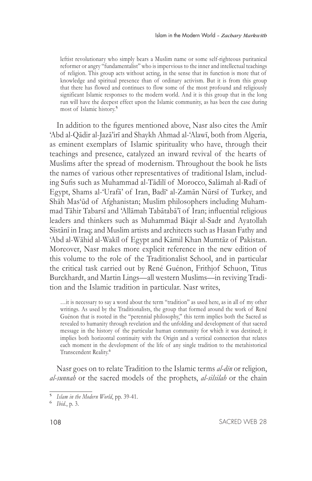leftist revolutionary who simply bears a Muslim name or some self-righteous puritanical reformer or angry "fundamentalist" who is impervious to the inner and intellectual teachings of religion. This group acts without acting, in the sense that its function is more that of knowledge and spiritual presence than of ordinary activism. But it is from this group that there has flowed and continues to flow some of the most profound and religiously significant Islamic responses to the modern world. And it is this group that in the long run will have the deepest effect upon the Islamic community, as has been the case during most of Islamic history.<sup>5</sup>

In addition to the figures mentioned above, Nasr also cites the Amīr 'Abd al-Qādir al-Jazā'irī and Shaykh Ahmad al-'Alawī, both from Algeria, as eminent exemplars of Islamic spirituality who have, through their teachings and presence, catalyzed an inward revival of the hearts of Muslims after the spread of modernism. Throughout the book he lists the names of various other representatives of traditional Islam, including Sufis such as Muhammad al-Tādilī of Morocco, Salāmah al-Radī of Egypt, Shams al-'Urafā' of Iran, Badī' al-Zamān Nūrsī of Turkey, and Shāh Mas'ūd of Afghanistan; Muslim philosophers including Muhammad Tāhir Tabarsī and 'Allāmah Tabātabā'ī of Iran; influential religious leaders and thinkers such as Muhammad Bāqir al-Sadr and Ayatollah Sīstānī in Iraq; and Muslim artists and architects such as Hasan Fathy and 'Abd al-Wāhid al-Wakīl of Egypt and Kāmil Khan Mumtāz of Pakistan. Moreover, Nasr makes more explicit reference in the new edition of this volume to the role of the Traditionalist School, and in particular the critical task carried out by René Guénon, Frithjof Schuon, Titus Burckhardt, and Martin Lings—all western Muslims—in reviving Tradition and the Islamic tradition in particular. Nasr writes,

…it is necessary to say a word about the term "tradition" as used here, as in all of my other writings. As used by the Traditionalists, the group that formed around the work of René Guénon that is rooted in the "perennial philosophy," this term implies both the Sacred as revealed to humanity through revelation and the unfolding and development of that sacred message in the history of the particular human community for which it was destined; it implies both horizontal continuity with the Origin and a vertical connection that relates each moment in the development of the life of any single tradition to the metahistorical Transcendent Reality.<sup>6</sup>

Nasr goes on to relate Tradition to the Islamic terms *al-dīn* or religion, *al-sunnah* or the sacred models of the prophets, *al-silsilah* or the chain

<sup>5</sup> *Islam in the Modern World*, pp. 39-41.

<sup>6</sup> *Ibid.*, p. 3.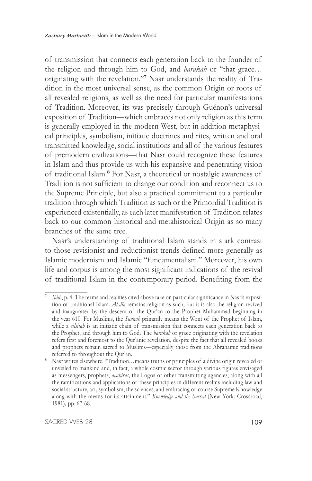of transmission that connects each generation back to the founder of the religion and through him to God, and *barakah* or "that grace… originating with the revelation."<sup>7</sup> Nasr understands the reality of Tradition in the most universal sense, as the common Origin or roots of all revealed religions, as well as the need for particular manifestations of Tradition. Moreover, its was precisely through Guénon's universal exposition of Tradition—which embraces not only religion as this term is generally employed in the modern West, but in addition metaphysical principles, symbolism, initiatic doctrines and rites, written and oral transmitted knowledge, social institutions and all of the various features of premodern civilizations—that Nasr could recognize these features in Islam and thus provide us with his expansive and penetrating vision of traditional Islam.<sup>8</sup> For Nasr, a theoretical or nostalgic awareness of Tradition is not sufficient to change our condition and reconnect us to the Supreme Principle, but also a practical commitment to a particular tradition through which Tradition as such or the Primordial Tradition is experienced existentially, as each later manifestation of Tradition relates back to our common historical and metahistorical Origin as so many branches of the same tree.

Nasr's understanding of traditional Islam stands in stark contrast to those revisionist and reductionist trends defined more generally as Islamic modernism and Islamic "fundamentalism." Moreover, his own life and corpus is among the most significant indications of the revival of traditional Islam in the contemporary period. Benefiting from the

<sup>7</sup> *Ibid*., p. 4. The terms and realities cited above take on particular significance in Nasr's exposition of traditional Islam. *Al-dīn* remains religion as such, but it is also the religion revived and inaugurated by the descent of the Qur'an to the Prophet Muhammad beginning in the year 610. For Muslims, the *Sunnah* primarily means the Wont of the Prophet of Islam, while a *silsilah* is an initiatic chain of transmission that connects each generation back to the Prophet, and through him to God. The *barakah* or grace originating with the revelation refers first and foremost to the Qur'anic revelation, despite the fact that all revealed books and prophets remain sacred to Muslims—especially those from the Abrahamic traditions referred to throughout the Qur'an.

<sup>8</sup> Nasr writes elsewhere, "Tradition... means truths or principles of a divine origin revealed or unveiled to mankind and, in fact, a whole cosmic sector through various figures envisaged as messengers, prophets, *avatāras*, the Logos or other transmitting agencies, along with all the ramifications and applications of these principles in different realms including law and social structure, art, symbolism, the sciences, and embracing of course Supreme Knowledge along with the means for its attainment." *Knowledge and the Sacred* (New York: Crossroad, 1981)*,* pp. 67-68.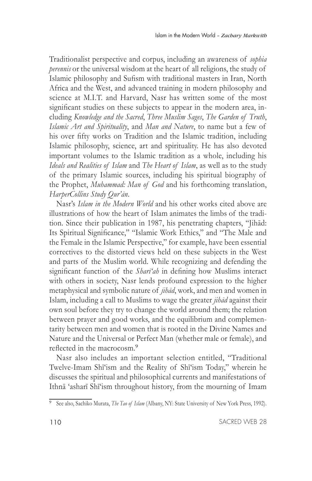Traditionalist perspective and corpus, including an awareness of *sophia perennis* or the universal wisdom at the heart of all religions, the study of Islamic philosophy and Sufism with traditional masters in Iran, North Africa and the West, and advanced training in modern philosophy and science at M.I.T. and Harvard, Nasr has written some of the most significant studies on these subjects to appear in the modern area, including *Knowledge and the Sacred*, *Three Muslim Sages*, *The Garden of Truth*, *Islamic Art and Spirituality*, and *Man and Nature*, to name but a few of his over fifty works on Tradition and the Islamic tradition, including Islamic philosophy, science, art and spirituality. He has also devoted important volumes to the Islamic tradition as a whole, including his *Ideals and Realities of Islam* and *The Heart of Islam*, as well as to the study of the primary Islamic sources, including his spiritual biography of the Prophet, *Muhammad: Man of God* and his forthcoming translation, *HarperCollins Study Qur'ān*.

Nasr's *Islam in the Modern World* and his other works cited above are illustrations of how the heart of Islam animates the limbs of the tradition. Since their publication in 1987, his penetrating chapters, "Jihād: Its Spiritual Significance," "Islamic Work Ethics," and "The Male and the Female in the Islamic Perspective," for example, have been essential correctives to the distorted views held on these subjects in the West and parts of the Muslim world. While recognizing and defending the significant function of the *Sharī'ah* in defining how Muslims interact with others in society, Nasr lends profound expression to the higher metaphysical and symbolic nature of *jihād*, work, and men and women in Islam, including a call to Muslims to wage the greater *jihād* against their own soul before they try to change the world around them; the relation between prayer and good works, and the equilibrium and complementarity between men and women that is rooted in the Divine Names and Nature and the Universal or Perfect Man (whether male or female), and reflected in the macrocosm.<sup>9</sup>

Nasr also includes an important selection entitled, "Traditional Twelve-Imam Shī'ism and the Reality of Shī'ism Today," wherein he discusses the spiritual and philosophical currents and manifestations of Ithnā 'asharī Shī'ism throughout history, from the mourning of Imam

<sup>9</sup> See also, Sachiko Murata, *The Tao of Islam* (Albany, NY: State University of New York Press, 1992).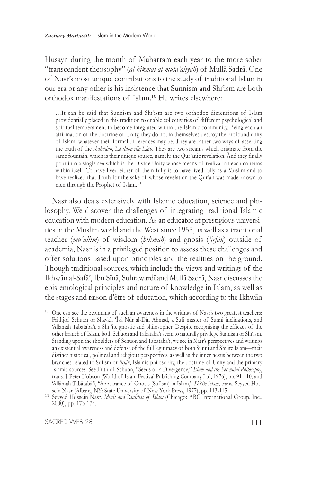Husayn during the month of Muharram each year to the more sober "transcendent theosophy" (*al-hikmat al-muta'āliyah*) of Mullā Sadrā. One of Nasr's most unique contributions to the study of traditional Islam in our era or any other is his insistence that Sunnism and Shī'ism are both orthodox manifestations of Islam.<sup>10</sup> He writes elsewhere:

…It can be said that Sunnism and Shī'ism are two orthodox dimensions of Islam providentially placed in this tradition to enable collectivities of different psychological and spiritual temperament to become integrated within the Islamic community. Being each an affirmation of the doctrine of Unity, they do not in themselves destroy the profound unity of Islam, whatever their formal differences may be. They are rather two ways of asserting the truth of the *shahādah*, *Lā ilāha illa'Llāh*. They are two streams which originate from the same fountain, which is their unique source, namely, the Qur'anic revelation. And they finally pour into a single sea which is the Divine Unity whose means of realization each contains within itself. To have lived either of them fully is to have lived fully as a Muslim and to have realized that Truth for the sake of whose revelation the Qur'an was made known to men through the Prophet of Islam.<sup>11</sup>

Nasr also deals extensively with Islamic education, science and philosophy. We discover the challenges of integrating traditional Islamic education with modern education. As an educator at prestigious universities in the Muslim world and the West since 1955, as well as a traditional teacher (*mu'allim*) of wisdom (*hikmah*) and gnosis (*'irfān*) outside of academia, Nasr is in a privileged position to assess these challenges and offer solutions based upon principles and the realities on the ground. Though traditional sources, which include the views and writings of the Ikhwān al-Safā', Ibn Sīnā, Suhrawardī and Mullā Sadrā, Nasr discusses the epistemological principles and nature of knowledge in Islam, as well as the stages and raison d'être of education, which according to the Ikhwān

<sup>&</sup>lt;sup>10</sup> One can see the beginning of such an awareness in the writings of Nasr's two greatest teachers: Frithjof Schuon or Shaykh 'Īsā Nūr al-Dīn Ahmad, a Sufi master of Sunni inclinations, and 'Allāmah Tabātabā'ī, a Shī 'ite gnostic and philosopher. Despite recognizing the efficacy of the other branch of Islam, both Schuon and Tabātabā'ī seem to naturally privilege Sunnism or Shī'ism. Standing upon the shoulders of Schuon and Tabātabā'ī, we see in Nasr's perspectives and writings an existential awareness and defense of the full legitimacy of both Sunni and Shī'ite Islam—their distinct historical, political and religious perspectives, as well as the inner nexus between the two branches related to Sufism or *'irfān*, Islamic philosophy, the doctrine of Unity and the primary Islamic sources. See Frithjof Schuon, "Seeds of a Divergence," *Islam and the Perennial Philosophy*, trans. J. Peter Hobson (World of Islam Festival Publishing Company Ltd, 1976), pp. 91-110; and 'Allāmah Tabātabā'ī, "Appearance of Gnosis (Sufism) in Islam," *Shi'ite Islam*, trans. Seyyed Hos-

<sup>&</sup>lt;sup>11</sup> Seyyed Hossein Nasr, Ideals and Realities of Islam (Chicago: ABC International Group, Inc., 2000), pp. 173-174.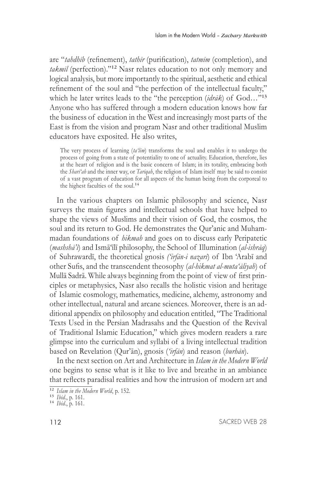are "*tahdhīb* (refinement), *tathīr* (purification), *tatmīm* (completion), and *takmīl* (perfection)."<sup>12</sup> Nasr relates education to not only memory and logical analysis, but more importantly to the spiritual, aesthetic and ethical refinement of the soul and "the perfection of the intellectual faculty," which he later writes leads to the "the perception (*idrāk*) of God…"<sup>13</sup> Anyone who has suffered through a modern education knows how far the business of education in the West and increasingly most parts of the East is from the vision and program Nasr and other traditional Muslim educators have exposited. He also writes,

The very process of learning (*ta'līm*) transforms the soul and enables it to undergo the process of going from a state of potentiality to one of actuality. Education, therefore, lies at the heart of religion and is the basic concern of Islam; in its totality, embracing both the *Sharī'ah* and the inner way, or *Tarīqah*, the religion of Islam itself may be said to consist of a vast program of education for all aspects of the human being from the corporeal to the highest faculties of the soul.<sup>14</sup>

In the various chapters on Islamic philosophy and science, Nasr surveys the main figures and intellectual schools that have helped to shape the views of Muslims and their vision of God, the cosmos, the soul and its return to God. He demonstrates the Qur'anic and Muhammadan foundations of *hikmah* and goes on to discuss early Peripatetic (*mashshā'ī*) and Ismā'īlī philosophy, the School of Illumination (*al-ishrāq*) of Suhrawardī, the theoretical gnosis *('irfān-i nazarī*) of Ibn 'Arabī and other Sufis, and the transcendent theosophy (*al-hikmat al-muta'āliyah*) of Mullā Sadrā. While always beginning from the point of view of first principles or metaphysics, Nasr also recalls the holistic vision and heritage of Islamic cosmology, mathematics, medicine, alchemy, astronomy and other intellectual, natural and arcane sciences. Moreover, there is an additional appendix on philosophy and education entitled, "The Traditional Texts Used in the Persian Madrasahs and the Question of the Revival of Traditional Islamic Education," which gives modern readers a rare glimpse into the curriculum and syllabi of a living intellectual tradition based on Revelation (Qur'ān), gnosis (*'irfān*) and reason (*burhān*).

In the next section on Art and Architecture in *Islam in the Modern World* one begins to sense what is it like to live and breathe in an ambiance that reflects paradisal realities and how the intrusion of modern art and

<sup>12</sup> *Islam in the Modern World*, p. 152. <sup>13</sup> *Ibid*., p. 161. <sup>14</sup> *Ibid*., p. 161.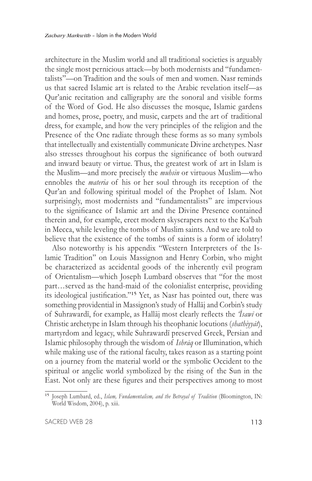architecture in the Muslim world and all traditional societies is arguably the single most pernicious attack—by both modernists and "fundamentalists"—on Tradition and the souls of men and women. Nasr reminds us that sacred Islamic art is related to the Arabic revelation itself—as Qur'anic recitation and calligraphy are the sonoral and visible forms of the Word of God. He also discusses the mosque, Islamic gardens and homes, prose, poetry, and music, carpets and the art of traditional dress, for example, and how the very principles of the religion and the Presence of the One radiate through these forms as so many symbols that intellectually and existentially communicate Divine archetypes. Nasr also stresses throughout his corpus the significance of both outward and inward beauty or virtue. Thus, the greatest work of art in Islam is the Muslim—and more precisely the *muhsin* or virtuous Muslim—who ennobles the *materia* of his or her soul through its reception of the Qur'an and following spiritual model of the Prophet of Islam. Not surprisingly, most modernists and "fundamentalists" are impervious to the significance of Islamic art and the Divine Presence contained therein and, for example, erect modern skyscrapers next to the Ka'bah in Mecca, while leveling the tombs of Muslim saints. And we are told to believe that the existence of the tombs of saints is a form of idolatry!

Also noteworthy is his appendix "Western Interpreters of the Islamic Tradition" on Louis Massignon and Henry Corbin, who might be characterized as accidental goods of the inherently evil program of Orientalism—which Joseph Lumbard observes that "for the most part…served as the hand-maid of the colonialist enterprise, providing its ideological justification."<sup>15</sup> Yet, as Nasr has pointed out, there was something providential in Massignon's study of Hallāj and Corbin's study of Suhrawardī, for example, as Hallāj most clearly reflects the *'Īsawī* or Christic archetype in Islam through his theophanic locutions (*shathiyyāt*), martyrdom and legacy, while Suhrawardī preserved Greek, Persian and Islamic philosophy through the wisdom of *Ishrāq* or Illumination, which while making use of the rational faculty, takes reason as a starting point on a journey from the material world or the symbolic Occident to the spiritual or angelic world symbolized by the rising of the Sun in the East. Not only are these figures and their perspectives among to most

<sup>15</sup> Joseph Lumbard, ed., *Islam, Fundamentalism, and the Betrayal of Tradition* (Bloomington, IN: World Wisdom, 2004), p. xiii.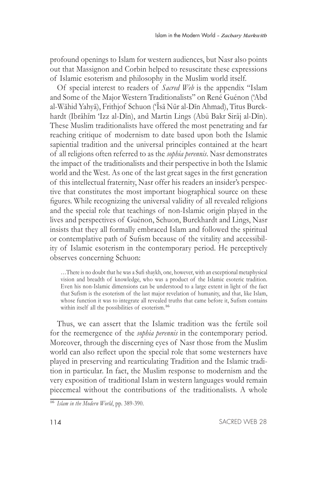profound openings to Islam for western audiences, but Nasr also points out that Massignon and Corbin helped to resuscitate these expressions of Islamic esoterism and philosophy in the Muslim world itself.

Of special interest to readers of *Sacred Web* is the appendix "Islam and Some of the Major Western Traditionalists" on René Guénon ('Abd al-Wāhid Yahyā), Frithjof Schuon ('Īsā Nūr al-Dīn Ahmad), Titus Burckhardt (Ibrāhīm 'Izz al-Dīn), and Martin Lings (Abū Bakr Sirāj al-Dīn). These Muslim traditionalists have offered the most penetrating and far reaching critique of modernism to date based upon both the Islamic sapiential tradition and the universal principles contained at the heart of all religions often referred to as the *sophia perennis*. Nasr demonstrates the impact of the traditionalists and their perspective in both the Islamic world and the West. As one of the last great sages in the first generation of this intellectual fraternity, Nasr offer his readers an insider's perspective that constitutes the most important biographical source on these figures. While recognizing the universal validity of all revealed religions and the special role that teachings of non-Islamic origin played in the lives and perspectives of Guénon, Schuon, Burckhardt and Lings, Nasr insists that they all formally embraced Islam and followed the spiritual or contemplative path of Sufism because of the vitality and accessibility of Islamic esoterism in the contemporary period. He perceptively observes concerning Schuon:

…There is no doubt that he was a Sufi shaykh, one, however, with an exceptional metaphysical vision and breadth of knowledge, who was a product of the Islamic esoteric tradition. Even his non-Islamic dimensions can be understood to a large extent in light of the fact that Sufism is the esoterism of the last major revelation of humanity, and that, like Islam, whose function it was to integrate all revealed truths that came before it, Sufism contains within itself all the possibilities of esoterism.<sup>16</sup>

Thus, we can assert that the Islamic tradition was the fertile soil for the reemergence of the *sophia perennis* in the contemporary period. Moreover, through the discerning eyes of Nasr those from the Muslim world can also reflect upon the special role that some westerners have played in preserving and rearticulating Tradition and the Islamic tradition in particular. In fact, the Muslim response to modernism and the very exposition of traditional Islam in western languages would remain piecemeal without the contributions of the traditionalists. A whole

<sup>16</sup> *Islam in the Modern World*, pp. 389-390.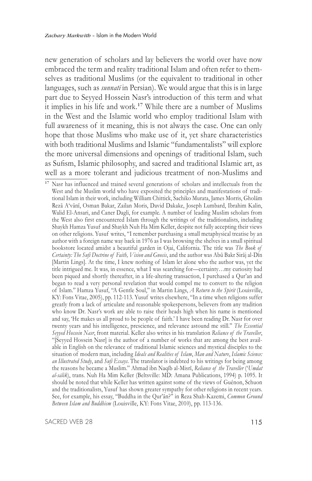new generation of scholars and lay believers the world over have now embraced the term and reality traditional Islam and often refer to themselves as traditional Muslims (or the equivalent to traditional in other languages, such as *sunnatī* in Persian). We would argue that this is in large part due to Seyyed Hossein Nasr's introduction of this term and what it implies in his life and work.<sup>17</sup> While there are a number of Muslims in the West and the Islamic world who employ traditional Islam with full awareness of it meaning, this is not always the case. One can only hope that those Muslims who make use of it, yet share characteristics with both traditional Muslims and Islamic "fundamentalists" will explore the more universal dimensions and openings of traditional Islam, such as Sufism, Islamic philosophy, and sacred and traditional Islamic art, as well as a more tolerant and judicious treatment of non-Muslims and

<sup>&</sup>lt;sup>17</sup> Nasr has influenced and trained several generations of scholars and intellectuals from the West and the Muslim world who have exposited the principles and manifestations of traditional Islam in their work, including William Chittick, Sachiko Murata, James Morris, Gholām Rezā A'vānī, Osman Bakar, Zailan Moris, David Dakake, Joseph Lumbard, Ibrahim Kalin, Walid El-Ansari, and Caner Dagli, for example. A number of leading Muslim scholars from the West also first encountered Islam through the writings of the traditionalists, including Shaykh Hamza Yusuf and Shaykh Nuh Ha Mim Keller, despite not fully accepting their views on other religions. Yusuf writes, "I remember purchasing a small metaphysical treatise by an author with a foreign name way back in 1976 as I was browsing the shelves in a small spiritual bookstore located amidst a beautiful garden in Ojai, California. The title was *The Book of Certainty: The Sufi Doctrine of Faith, Vision and Gnosis*, and the author was Abū Bakr Sirāj al-Dīn [Martin Lings]. At the time, I knew nothing of Islam let alone who the author was, yet the title intrigued me. It was, in essence, what I was searching for—certainty…my curiosity had been piqued and shortly thereafter, in a life-altering transaction, I purchased a Qur'an and began to read a very personal revelation that would compel me to convert to the religion of Islam." Hamza Yusuf, "A Gentle Soul," in Martin Lings, *A Return to the Spirit* (Louisville, KY: Fons Vitae, 2005), pp. 112-113. Yusuf writes elsewhere, "In a time when religions suffer greatly from a lack of articulate and reasonable spokespersons, believers from any tradition who know Dr. Nasr's work are able to raise their heads high when his name is mentioned and say, 'He makes us all proud to be people of faith.' I have been reading Dr. Nasr for over twenty years and his intelligence, prescience, and relevance astound me still." *The Essential Seyyed Hossein Nasr*, front material. Keller also writes in his translation *Reliance of the Traveller*, "[Seyyed Hossein Nasr] is the author of a number of works that are among the best available in English on the relevance of traditional Islamic sciences and mystical disciples to the situation of modern man, including *Ideals and Realities of Islam*, *Man and Nature*, *Islamic Science: an Illustrated Study*, and *Sufi Essays*. The translator is indebted to his writings for being among the reasons he became a Muslim." Ahmad ibn Naqīb al-Misrī, *Reliance of the Traveller* ('*Umdat al-sālik*), trans. Nuh Ha Mim Keller (Beltsville: MD: Amana Publications, 1994) p. 1095. It should be noted that while Keller has written against some of the views of Guénon, Schuon and the traditionalists, Yusuf has shown greater sympathy for other religions in recent years. See, for example, his essay, "Buddha in the Qur'ān?" in Reza Shah-Kazemi, *Common Ground Between Islam and Buddhism* (Louisville, KY: Fons Vitae, 2010), pp. 113-136.